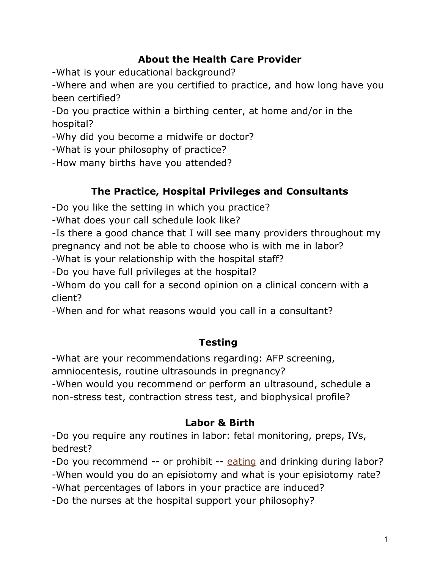## **About the Health Care Provider**

-What is your educational background?

-Where and when are you certified to practice, and how long have you been certified?

-Do you practice within a birthing center, at home and/or in the hospital?

-Why did you become a midwife or doctor?

-What is your philosophy of practice?

-How many births have you attended?

# **The Practice, Hospital Privileges and Consultants**

-Do you like the setting in which you practice?

-What does your call schedule look like?

-Is there a good chance that I will see many providers throughout my pregnancy and not be able to choose who is with me in labor?

-What is your relationship with the hospital staff?

-Do you have full privileges at the hospital?

-Whom do you call for a second opinion on a clinical concern with a client?

-When and for what reasons would you call in a consultant?

## **Testing**

-What are your recommendations regarding: AFP screening,

amniocentesis, routine ultrasounds in pregnancy?

-When would you recommend or perform an ultrasound, schedule a non-stress test, contraction stress test, and biophysical profile?

#### **Labor & Birth**

-Do you require any routines in labor: fetal monitoring, preps, IVs, bedrest?

-Do you recommend -- or prohibit -- [eating](http://parenting.ivillage.com/pregnancy/phealthcare/0,,midwife_3pv5,00.html#) and drinking during labor?

-When would you do an episiotomy and what is your episiotomy rate?

-What percentages of labors in your practice are induced?

-Do the nurses at the hospital support your philosophy?